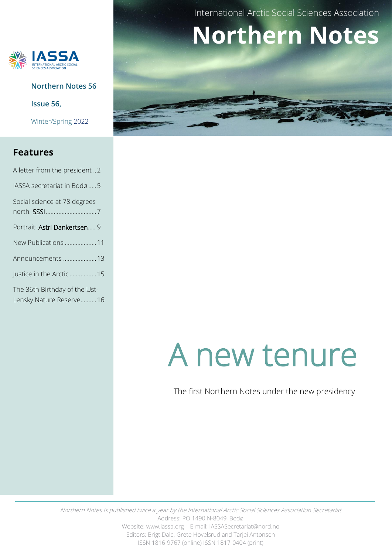

**Northern Notes 56**

**Issue 56,** 

Winter/Spring 2022

#### **Features**

| A letter from the president 2                            |  |
|----------------------------------------------------------|--|
| IASSA secretariat in Bodø5                               |  |
| Social science at 78 degrees                             |  |
| Portrait: Astri Dankertsen 9                             |  |
| New Publications 11                                      |  |
| Announcements  13                                        |  |
| Justice in the Arctic 15                                 |  |
| The 36th Birthday of the Ust-<br>Lensky Nature Reserve16 |  |

International Arctic Social Sciences Association

# **Northern Notes**

# A new tenure

The first Northern Notes under the new presidency

Northern Notes is published twice a year by the International Arctic Social Sciences Association Secretariat Address: PO 1490 N-8049, Bodø Website: www.iassa.org E-mail: IASSASecretariat@nord.no Editors: Brigt Dale, Grete Hovelsrud and Tarjei Antonsen ISSN 1816-9767 (online) ISSN 1817-0404 (print)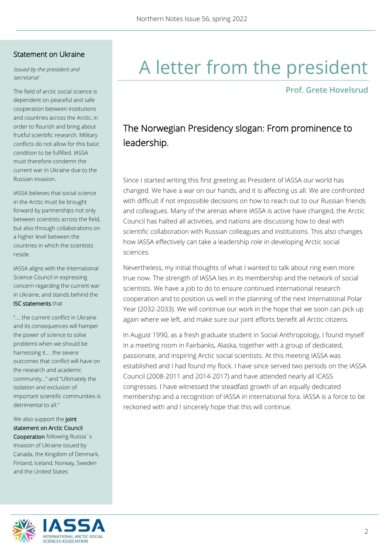#### Statement on Ukraine

Issued by the president and secretariat

The field of arctic social science is dependent on peaceful and safe cooperation between institutions and countries across the Arctic, in order to flourish and bring about fruitful scientific research. Military conflicts do not allow for this basic condition to be fulfilled. IASSA must therefore condemn the current war in Ukraine due to the Russian invasion.

IASSA believes that social science in the Arctic must be brought forward by partnerships not only between scientists across the field, but also through collaborations on a higher level between the countries in which the scientists reside.

IASSA aligns with the International Science Council in expressing concern regarding the current war in Ukraine, and stands behind the ISC statements that

"…. the current conflict in Ukraine and its consequences will hamper the power of science to solve problems when we should be harnessing it…. the severe outcomes that conflict will have on the research and academic community…" and "Ultimately the isolation and exclusion of important scientific communities is detrimental to all."

#### We also support the joint statement on Arctic Council

Cooperation following Russia´s Invasion of Ukraine issued by Canada, the Kingdom of Denmark, Finland, Iceland, Norway, Sweden and the United States

## A letter from the president

**Prof. Grete Hovelsrud**

### The Norwegian Presidency slogan: From prominence to leadership.

Since I started writing this first greeting as President of IASSA our world has changed. We have a war on our hands, and it is affecting us all. We are confronted with difficult if not impossible decisions on how to reach out to our Russian friends and colleagues. Many of the arenas where IASSA is active have changed, the Arctic Council has halted all activities, and nations are discussing how to deal with scientific collaboration with Russian colleagues and institutions. This also changes how IASSA effectively can take a leadership role in developing Arctic social sciences.

Nevertheless, my initial thoughts of what I wanted to talk about ring even more true now. The strength of IASSA lies in its membership and the network of social scientists. We have a job to do to ensure continued international research cooperation and to position us well in the planning of the next International Polar Year (2032-2033). We will continue our work in the hope that we soon can pick up again where we left, and make sure our joint efforts benefit all Arctic citizens.

In August 1990, as a fresh graduate student in Social Anthropology, I found myself in a meeting room in Fairbanks, Alaska, together with a group of dedicated, passionate, and inspiring Arctic social scientists. At this meeting IASSA was established and I had found my flock. I have since served two periods on the IASSA Council (2008-2011 and 2014-2017) and have attended nearly all ICASS congresses. I have witnessed the steadfast growth of an equally dedicated membership and a recognition of IASSA in international fora. IASSA is a force to be reckoned with and I sincerely hope that this will continue.

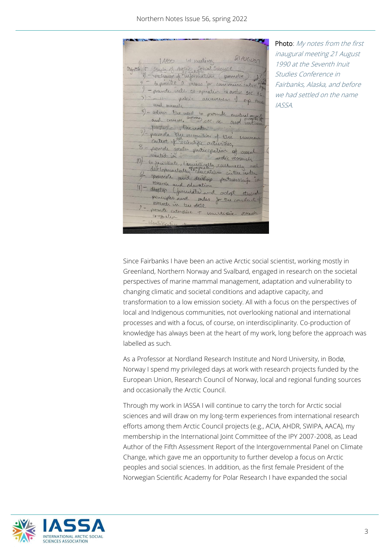21 AUGUST 1 1AASS Ist nuesting Objects : Study of Avericant Science 9 - Cercharge of information (promote) et ) - promote ruled 00-operation in artic soc. sc ) - 11 public awareness of cop issue and usearch 5) - adviso tre need to promote mutual osquet perpez - pthe index 3) - promote the moth of the numerous of the memory 8 = promote greater participation of social similate main participation of social artic vescarch<br>and the secritarie, laguistically culturally and<br>It momentally equipment in the note 6- promote and develop protection in Mearch and education 11) - directed and education<br>principles and and adopt etrical principles and miles for the conduct of meavel in the Actic - promote citeraise + mustique. Nocambia co-operation identificati

Photo: My notes from the first inaugural meeting 21 August 1990 at the Seventh Inuit Studies Conference in Fairbanks, Alaska, and before we had settled on the name IASSA.

Since Fairbanks I have been an active Arctic social scientist, working mostly in Greenland, Northern Norway and Svalbard, engaged in research on the societal perspectives of marine mammal management, adaptation and vulnerability to changing climatic and societal conditions and adaptive capacity, and transformation to a low emission society. All with a focus on the perspectives of local and Indigenous communities, not overlooking national and international processes and with a focus, of course, on interdisciplinarity. Co-production of knowledge has always been at the heart of my work, long before the approach was labelled as such.

As a Professor at Nordland Research Institute and Nord University, in Bodø, Norway I spend my privileged days at work with research projects funded by the European Union, Research Council of Norway, local and regional funding sources and occasionally the Arctic Council.

Through my work in IASSA I will continue to carry the torch for Arctic social sciences and will draw on my long-term experiences from international research efforts among them Arctic Council projects (e.g., ACIA, AHDR, SWIPA, AACA), my membership in the International Joint Committee of the IPY 2007-2008, as Lead Author of the Fifth Assessment Report of the Intergovernmental Panel on Climate Change, which gave me an opportunity to further develop a focus on Arctic peoples and social sciences. In addition, as the first female President of the Norwegian Scientific Academy for Polar Research I have expanded the social

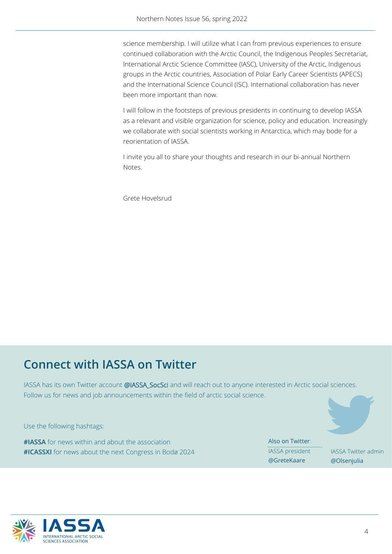science membership. I will utilize what I can from previous experiences to ensure continued collaboration with the Arctic Council, the Indigenous Peoples Secretariat, International Arctic Science Committee (IASC), University of the Arctic, Indigenous groups in the Arctic countries, Association of Polar Early Career Scientists (APECS) and the International Science Council (ISC). International collaboration has never been more important than now.

I will follow in the footsteps of previous presidents in continuing to develop IASSA as a relevant and visible organization for science, policy and education. Increasingly we collaborate with social scientists working in Antarctica, which may bode for a reorientation of IASSA.

I invite you all to share your thoughts and research in our bi-annual Northern Notes.

Grete Hovelsrud

### **Connect with IASSA on Twitter**

IASSA has its own Twitter account @IASSA\_SocSci and will reach out to anyone interested in Arctic social sciences. Follow us for news and job announcements within the field of arctic social science.

Use the following hashtags:

**#IASSA** for news within and about the association **#ICASSXI** for news about the next Congress in Bodø 2024 Also on Twitter: IASSA president @GreteKaare

IASSA Twitter admin @Olsenjulia

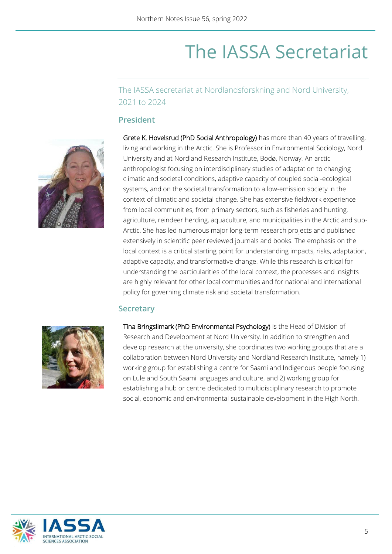### The IASSA Secretariat

The IASSA secretariat at Nordlandsforskning and Nord University, 2021 to 2024

#### **President**



Grete K. Hovelsrud (PhD Social Anthropology) has more than 40 years of travelling, living and working in the Arctic. She is Professor in Environmental Sociology, Nord University and at Nordland Research Institute, Bodø, Norway. An arctic anthropologist focusing on interdisciplinary studies of adaptation to changing climatic and societal conditions, adaptive capacity of coupled social-ecological systems, and on the societal transformation to a low-emission society in the context of climatic and societal change. She has extensive fieldwork experience from local communities, from primary sectors, such as fisheries and hunting, agriculture, reindeer herding, aquaculture, and municipalities in the Arctic and sub-Arctic. She has led numerous major long-term research projects and published extensively in scientific peer reviewed journals and books. The emphasis on the local context is a critical starting point for understanding impacts, risks, adaptation, adaptive capacity, and transformative change. While this research is critical for understanding the particularities of the local context, the processes and insights are highly relevant for other local communities and for national and international policy for governing climate risk and societal transformation.

#### **Secretary**



Tina Bringslimark (PhD Environmental Psychology) is the Head of Division of Research and Development at Nord University. In addition to strengthen and develop research at the university, she coordinates two working groups that are a collaboration between Nord University and Nordland Research Institute, namely 1) working group for establishing a centre for Saami and Indigenous people focusing on Lule and South Saami languages and culture, and 2) working group for establishing a hub or centre dedicated to multidisciplinary research to promote social, economic and environmental sustainable development in the High North.

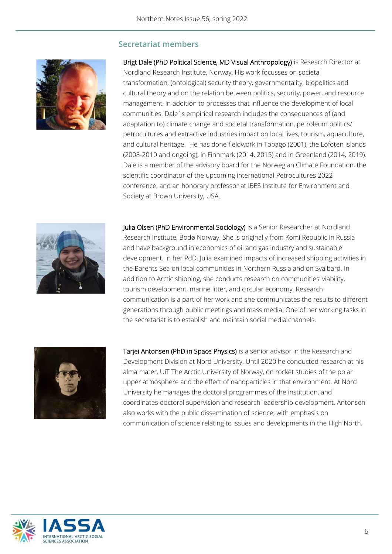#### **Secretariat members**



Brigt Dale (PhD Political Science, MD Visual Anthropology) is Research Director at Nordland Research Institute, Norway. His work focusses on societal transformation, (ontological) security theory, governmentality, biopolitics and cultural theory and on the relation between politics, security, power, and resource management, in addition to processes that influence the development of local communities. Dale´s empirical research includes the consequences of (and adaptation to) climate change and societal transformation, petroleum politics/ petrocultures and extractive industries impact on local lives, tourism, aquaculture, and cultural heritage. He has done fieldwork in Tobago (2001), the Lofoten Islands (2008-2010 and ongoing), in Finnmark (2014, 2015) and in Greenland (2014, 2019). Dale is a member of the advisory board for the Norwegian Climate Foundation, the scientific coordinator of the upcoming international Petrocultures 2022 conference, and an honorary professor at IBES Institute for Environment and Society at Brown University, USA.



Julia Olsen (PhD Environmental Sociology) is a Senior Researcher at Nordland Research Institute, Bodø Norway. She is originally from Komi Republic in Russia and have background in economics of oil and gas industry and sustainable development. In her PdD, Julia examined impacts of increased shipping activities in the Barents Sea on local communities in Northern Russia and on Svalbard. In addition to Arctic shipping, she conducts research on communities' viability, tourism development, marine litter, and circular economy. Research communication is a part of her work and she communicates the results to different generations through public meetings and mass media. One of her working tasks in the secretariat is to establish and maintain social media channels.



Tarjei Antonsen (PhD in Space Physics) is a senior advisor in the Research and Development Division at Nord University. Until 2020 he conducted research at his alma mater, UiT The Arctic University of Norway, on rocket studies of the polar upper atmosphere and the effect of nanoparticles in that environment. At Nord University he manages the doctoral programmes of the institution, and coordinates doctoral supervision and research leadership development. Antonsen also works with the public dissemination of science, with emphasis on communication of science relating to issues and developments in the High North.

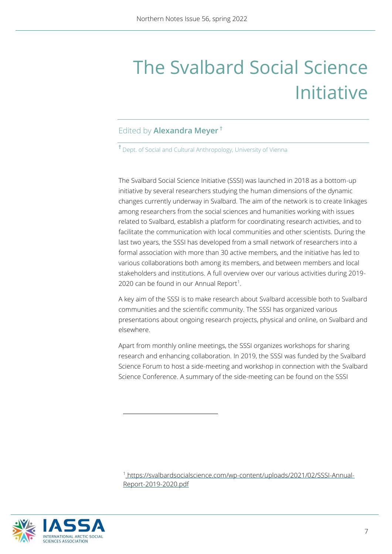## The Svalbard Social Science Initiative

#### Edited by **Alexandra Meyer †**

**†** Dept. of Social and Cultural Anthropology, University of Vienna

The Svalbard Social Science Initiative (SSSI) was launched in 2018 as a bottom-up initiative by several researchers studying the human dimensions of the dynamic changes currently underway in Svalbard. The aim of the network is to create linkages among researchers from the social sciences and humanities working with issues related to Svalbard, establish a platform for coordinating research activities, and to facilitate the communication with local communities and other scientists. During the last two years, the SSSI has developed from a small network of researchers into a formal association with more than 30 active members, and the initiative has led to various collaborations both among its members, and between members and local stakeholders and institutions. A full overview over our various activities during 2019- 2020 can be found in our Annual Report<sup>1</sup>.

A key aim of the SSSI is to make research about Svalbard accessible both to Svalbard communities and the scientific community. The SSSI has organized various presentations about ongoing research projects, physical and online, on Svalbard and elsewhere.

Apart from monthly online meetings, the SSSI organizes workshops for sharing research and enhancing collaboration. In 2019, the SSSI was funded by the Svalbard Science Forum to host a side-meeting and workshop in connection with the Svalbard Science Conference. A summary of the side-meeting can be found on the SSSI

<sup>1</sup> [https://svalbardsocialscience.com/wp-content/uploads/2021/02/SSSI-Annual-](https://svalbardsocialscience.com/wp-content/uploads/2021/02/SSSI-Annual-Report-2019-2020.pdf)[Report-2019-2020.pdf](https://svalbardsocialscience.com/wp-content/uploads/2021/02/SSSI-Annual-Report-2019-2020.pdf)

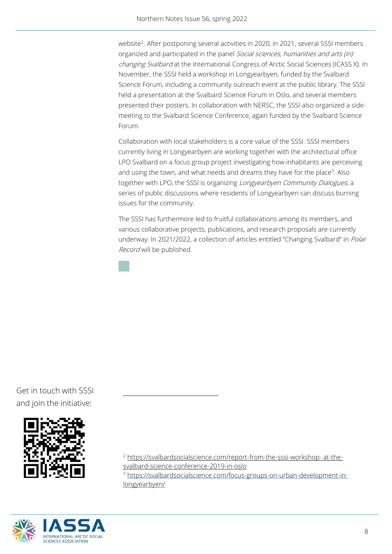website<sup>2</sup>. [After postponing several activities in 2020, in 2021,](https://svalbardsocialscience.com/report-from-the-sssi-workshop-%20at-the-svalbard-science-conference-2019-in-oslo/.%20After%20postponing%20several%20activities%20in%202020,%20in%202021) several SSSI members organized and participated in the panel Social sciences, humanities and arts (in) changing Svalbard at the International Congress of Arctic Social Sciences (ICASS X). In November, the SSSI held a workshop in Longyearbyen, funded by the Svalbard Science Forum, including a community outreach event at the public library. The SSSI held a presentation at the Svalbard Science Forum in Oslo, and several members presented their posters. In collaboration with NERSC, the SSSI also organized a sidemeeting to the Svalbard Science Conference, again funded by the Svalbard Science Forum.

Collaboration with local stakeholders is a core value of the SSSI. SSSI members currently living in Longyearbyen are working together with the architectural office LPO Svalbard on a focus group project investigating how inhabitants are perceiving and using the town, and what needs and dreams they have for the place<sup>3</sup>. Also together with LPO, the SSSI is organizing *Longyearbyen Community Dialogues*, a series of public discussions where residents of Longyearbyen can discuss burning issues for the community.

The SSSI has furthermore led to fruitful collaborations among its members, and various collaborative projects, publications, and research proposals are currently underway. In 2021/2022, a collection of articles entitled "Changing Svalbard" in *Polar* Record will be published.

Get in touch with SSSI and join the initiative:





<sup>2</sup> [https://svalbardsocialscience.com/report-from-the-sssi-workshop-](https://svalbardsocialscience.com/report-from-the-sssi-workshop-%20at-the-svalbard-science-conference-2019-in-oslo) at-the-

[svalbard-science-conference-2019-in-oslo](https://svalbardsocialscience.com/report-from-the-sssi-workshop-%20at-the-svalbard-science-conference-2019-in-oslo)

<sup>3</sup> [https://svalbardsocialscience.com/focus-groups-on-urban-development-in](https://svalbardsocialscience.com/focus-groups-on-urban-development-in-longyearbyen/)[longyearbyen/](https://svalbardsocialscience.com/focus-groups-on-urban-development-in-longyearbyen/)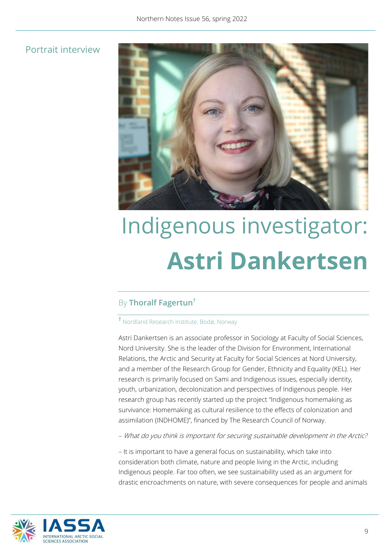#### Portrait interview



# Indigenous investigator: **Astri Dankertsen**

#### By **Thoralf Fagertun†**

#### **†** Nordland Research Institute, Bodø, Norway

Astri Dankertsen is an associate professor in Sociology at Faculty of Social Sciences, Nord University. She is the leader of the Division for Environment, International Relations, the Arctic and Security at Faculty for Social Sciences at Nord University, and a member of the Research Group for Gender, Ethnicity and Equality (KEL). Her research is primarily focused on Sami and Indigenous issues, especially identity, youth, urbanization, decolonization and perspectives of Indigenous people. Her research group has recently started up the project "Indigenous homemaking as survivance: Homemaking as cultural resilience to the effects of colonization and assimilation (INDHOME)", financed by The Research Council of Norway.

– What do you think is important for securing sustainable development in the Arctic?

– It is important to have a general focus on sustainability, which take into consideration both climate, nature and people living in the Arctic, including Indigenous people. Far too often, we see sustainability used as an argument for drastic encroachments on nature, with severe consequences for people and animals

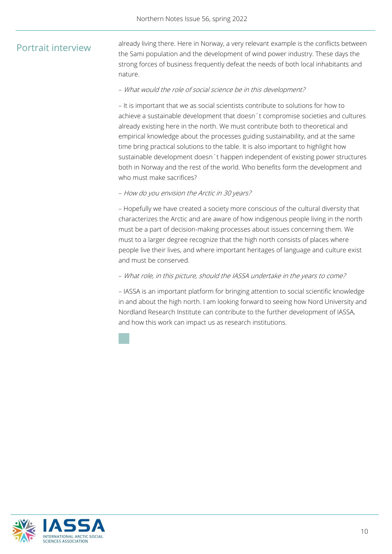#### Portrait interview

already living there. Here in Norway, a very relevant example is the conflicts between the Sami population and the development of wind power industry. These days the strong forces of business frequently defeat the needs of both local inhabitants and nature.

#### – What would the role of social science be in this development?

– It is important that we as social scientists contribute to solutions for how to achieve a sustainable development that doesn´t compromise societies and cultures already existing here in the north. We must contribute both to theoretical and empirical knowledge about the processes guiding sustainability, and at the same time bring practical solutions to the table. It is also important to highlight how sustainable development doesn´t happen independent of existing power structures both in Norway and the rest of the world. Who benefits form the development and who must make sacrifices?

#### – How do you envision the Arctic in 30 years?

– Hopefully we have created a society more conscious of the cultural diversity that characterizes the Arctic and are aware of how indigenous people living in the north must be a part of decision-making processes about issues concerning them. We must to a larger degree recognize that the high north consists of places where people live their lives, and where important heritages of language and culture exist and must be conserved.

#### – What role, in this picture, should the IASSA undertake in the years to come?

– IASSA is an important platform for bringing attention to social scientific knowledge in and about the high north. I am looking forward to seeing how Nord University and Nordland Research Institute can contribute to the further development of IASSA, and how this work can impact us as research institutions.

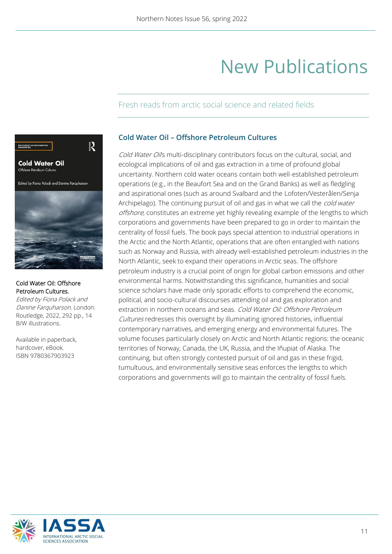### New Publications

#### Fresh reads from arctic social science and related fields



#### [Cold Water Oil: Offshore](https://www.routledge.com/Cold-Water-Oil-Offshore-Petroleum-Cultures/Polack-Farquharson/p/book/9780367903923)  [Petroleum Cultures.](https://www.routledge.com/Cold-Water-Oil-Offshore-Petroleum-Cultures/Polack-Farquharson/p/book/9780367903923)

Edited by Fiona Polack and Danine Farquharson. London: Routledge, 2022, 292 pp., 14 B/W illustrations.

Available in paperback, hardcover, eBook. ISBN 9780367903923

#### **Cold Water Oil – Offshore Petroleum Cultures**

Cold Water Oils multi-disciplinary contributors focus on the cultural, social, and ecological implications of oil and gas extraction in a time of profound global uncertainty. Northern cold water oceans contain both well-established petroleum operations (e.g., in the Beaufort Sea and on the Grand Banks) as well as fledgling and aspirational ones (such as around Svalbard and the Lofoten/Vesterålen/Senja Archipelago). The continuing pursuit of oil and gas in what we call the *cold water* offshore, constitutes an extreme yet highly revealing example of the lengths to which corporations and governments have been prepared to go in order to maintain the centrality of fossil fuels. The book pays special attention to industrial operations in the Arctic and the North Atlantic, operations that are often entangled with nations such as Norway and Russia, with already well-established petroleum industries in the North Atlantic, seek to expand their operations in Arctic seas. The offshore petroleum industry is a crucial point of origin for global carbon emissions and other environmental harms. Notwithstanding this significance, humanities and social science scholars have made only sporadic efforts to comprehend the economic, political, and socio-cultural discourses attending oil and gas exploration and extraction in northern oceans and seas. Cold Water Oil: Offshore Petroleum Cultures redresses this oversight by illuminating ignored histories, influential contemporary narratives, and emerging energy and environmental futures. The volume focuses particularly closely on Arctic and North Atlantic regions: the oceanic territories of Norway, Canada, the UK, Russia, and the Iñupiat of Alaska. The continuing, but often strongly contested pursuit of oil and gas in these frigid, tumultuous, and environmentally sensitive seas enforces the lengths to which corporations and governments will go to maintain the centrality of fossil fuels.

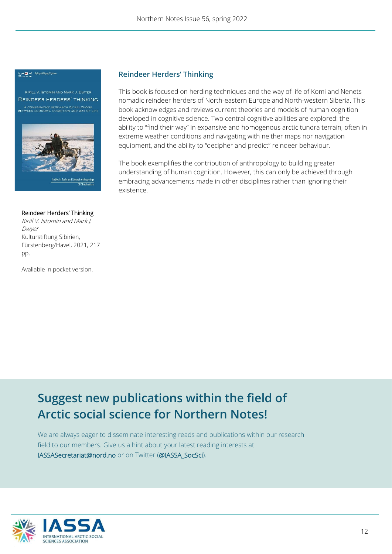#### 들서로 스 Kulturstiftung Sibirie

REINDEER HERDERS' THINKING A COMPARATIVE RESEARCH OF RELATIONS<br>BETWEEN ECONOMY, COGNITION AND WAY OF LIFE



Studies in Social and Cultural Anthr **SEC Publicat** 

#### [Reindeer](https://www.routledge.com/Cold-Water-Oil-Offshore-Petroleum-Cultures/Polack-Farquharson/p/book/9780367903923) Herders' Thinking

Kirill V. Istomin and Mark J. Dwyer Kulturstiftung Sibirien, Fürstenberg/Havel, 2021, 217 pp.

Avaliable in pocket version.

#### **Reindeer Herders' Thinking**

This book is focused on herding techniques and the way of life of Komi and Nenets nomadic reindeer herders of North-eastern Europe and North-western Siberia. This book acknowledges and reviews current theories and models of human cognition developed in cognitive science. Two central cognitive abilities are explored: the ability to "find their way" in expansive and homogenous arctic tundra terrain, often in extreme weather conditions and navigating with neither maps nor navigation equipment, and the ability to "decipher and predict" reindeer behaviour.

The book exemplifies the contribution of anthropology to building greater understanding of human cognition. However, this can only be achieved through embracing advancements made in other disciplines rather than ignoring their existence.

### **Suggest new publications within the field of Arctic social science for Northern Notes!**

We are always eager to disseminate interesting reads and publications within our research field to our members. Give us a hint about your latest reading interests at [IASSASecretariat@nord.no](mailto:IASSASecretariat@nord.no) or on Twitter (@IASSA\_SocSci).

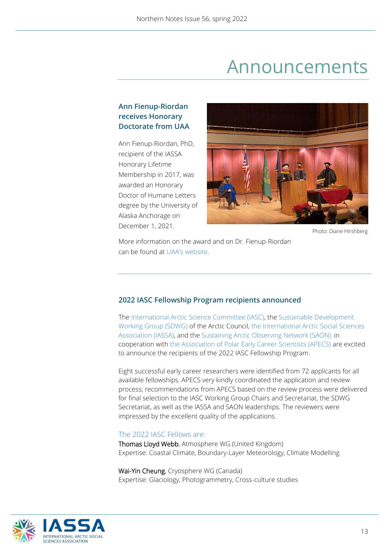### Announcements

#### **Ann Fienup-Riordan receives Honorary Doctorate from UAA**

Ann Fienup-Riordan, PhD, recipient of the IASSA Honorary Lifetime Membership in 2017, was awarded an Honorary Doctor of Humane Letters degree by the University of Alaska Anchorage on December 1, 2021.



Photo: Diane Hirshberg

More information on the award and on Dr. Fienup-Riordan can be found at [UAA's website](https://www.uaa.alaska.edu/news/archive/2021/12/fall-2021-honorary-degree-meritorious-service.cshtml).

#### **2022 IASC Fellowship Program recipients announced**

The [International Arctic Science Committee \(IASC\),](https://iasc.info/) the [Sustainable Development](https://sdwg.org/)  [Working Group \(SDWG\)](https://sdwg.org/) of the Arctic Council, the [International Arctic Social Sciences](https://iassa.org/)  [Association \(IASSA\),](https://iassa.org/) and the [Sustaining Arctic Observing Network \(SAON\)](https://www.arcticobserving.org/) in cooperation with th[e Association of Polar Early Career Scientists \(APECS\)](https://apecs.is/) are excited to announce the recipients of the 2022 IASC Fellowship Program.

Eight successful early career researchers were identified from 72 applicants for all available fellowships. APECS very kindly coordinated the application and review process; recommendations from APECS based on the review process were delivered for final selection to the IASC Working Group Chairs and Secretariat, the SDWG Secretariat, as well as the IASSA and SAON leaderships. The reviewers were impressed by the excellent quality of the applications.

#### The 2022 IASC Fellows are:

Thomas Lloyd Webb, Atmosphere WG (United Kingdom) Expertise: Coastal Climate, Boundary-Layer Meteorology, Climate Modelling

Wai-Yin Cheung, Cryosphere WG (Canada) Expertise: Glaciology, Photogrammetry, Cross-culture studies

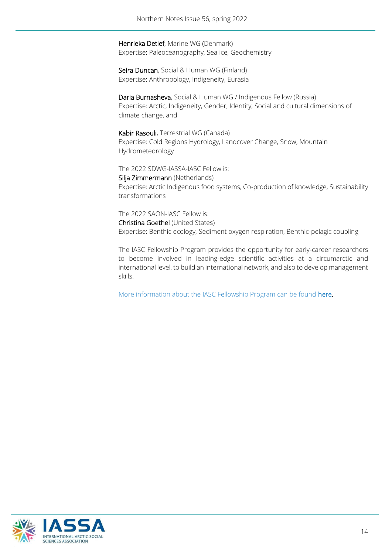Henrieka Detlef, Marine WG (Denmark) Expertise: Paleoceanography, Sea ice, Geochemistry

Seira Duncan, Social & Human WG (Finland) Expertise: Anthropology, Indigeneity, Eurasia

Daria Burnasheva, Social & Human WG / Indigenous Fellow (Russia) Expertise: Arctic, Indigeneity, Gender, Identity, Social and cultural dimensions of climate change, and

Kabir Rasouli, Terrestrial WG (Canada) Expertise: Cold Regions Hydrology, Landcover Change, Snow, Mountain Hydrometeorology

The 2022 SDWG-IASSA-IASC Fellow is:

Silja Zimmermann (Netherlands) Expertise: Arctic Indigenous food systems, Co-production of knowledge, Sustainability transformations

The 2022 SAON-IASC Fellow is: Christina Goethel (United States) Expertise: Benthic ecology, Sediment oxygen respiration, Benthic-pelagic coupling

The [IASC Fellowship Program](https://iasc.info/capacity-building/fellowship-program) provides the opportunity for early-career researchers to become involved in leading-edge scientific activities at a circumarctic and international level, to build an international network, and also to develop management skills.

More information about the IASC Fellowship Program can be found [here.](https://iasc.info/capacity-building/fellowship)

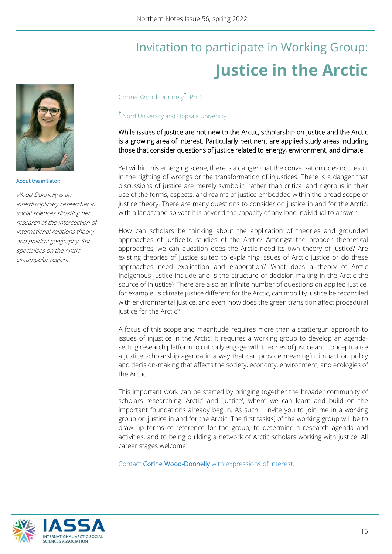### Invitation to participate in Working Group: **Justice in the Arctic**



#### About the initiator:

Wood-Donnelly is an interdisciplinary researcher in social sciences situating her research at the intersection of international relations theory and political geography. She specialises on the Arctic circumpolar region.

Corine Wood-Donnely**†** , PhD

**†** Nord University and Uppsala University.

#### While issues of justice are not new to the Arctic, scholarship on justice and the Arctic is a growing area of interest. Particularly pertinent are applied study areas including those that consider questions of justice related to energy, environment, and climate.

Yet within this emerging scene, there is a danger that the conversation does not result in the righting of wrongs or the transformation of injustices. There is a danger that discussions of justice are merely symbolic, rather than critical and rigorous in their use of the forms, aspects, and realms of justice embedded within the broad scope of justice theory. There are many questions to consider on justice in and for the Arctic, with a landscape so vast it is beyond the capacity of any lone individual to answer.

How can scholars be thinking about the application of theories and grounded approaches of justice to studies of the Arctic? Amongst the broader theoretical approaches, we can question does the Arctic need its own theory of justice? Are existing theories of justice suited to explaining issues of Arctic justice or do these approaches need explication and elaboration? What does a theory of Arctic Indigenous justice include and is the structure of decision-making in the Arctic the source of injustice? There are also an infinite number of questions on applied justice, for example: Is climate justice different for the Arctic, can mobility justice be reconciled with environmental justice, and even, how does the green transition affect procedural justice for the Arctic?

A focus of this scope and magnitude requires more than a scattergun approach to issues of injustice in the Arctic. It requires a working group to develop an agendasetting research platform to critically engage with theories of justice and conceptualise a justice scholarship agenda in a way that can provide meaningful impact on policy and decision-making that affects the society, economy, environment, and ecologies of the Arctic.

This important work can be started by bringing together the broader community of scholars researching 'Arctic' and 'Justice', where we can learn and build on the important foundations already begun. As such, I invite you to join me in a working group on justice in and for the Arctic. The first task(s) of the working group will be to draw up terms of reference for the group, to determine a research agenda and activities, and to being building a network of Arctic scholars working with justice. All career stages welcome!

Contact [Corine Wood-Donnelly](mailto:c.wood-donnelly@nord.no?subject=Justice%20in%20the%20Arctic%20working%20group) with expressions of interest.

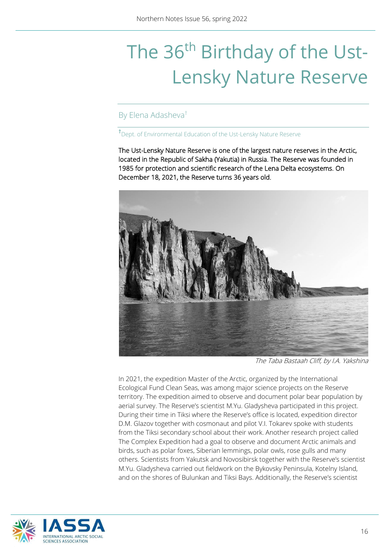## The 36<sup>th</sup> Birthday of the Ust-Lensky Nature Reserve

#### By Elena Adasheva†

#### **†**Dept. of Environmental Education of the Ust-Lensky Nature Reserve

The Ust-Lensky Nature Reserve is one of the largest nature reserves in the Arctic, located in the Republic of Sakha (Yakutia) in Russia. The Reserve was founded in 1985 for protection and scientific research of the Lena Delta ecosystems. On December 18, 2021, the Reserve turns 36 years old.



The Taba Bastaah Cliff, by I.A. Yakshina

In 2021, the expedition Master of the Arctic, organized by the International Ecological Fund Clean Seas, was among major science projects on the Reserve territory. The expedition aimed to observe and document polar bear population by aerial survey. The Reserve's scientist M.Yu. Gladysheva participated in this project. During their time in Tiksi where the Reserve's office is located, expedition director D.M. Glazov together with cosmonaut and pilot V.I. Tokarev spoke with students from the Tiksi secondary school about their work. Another research project called The Complex Expedition had a goal to observe and document Arctic animals and birds, such as polar foxes, Siberian lemmings, polar owls, rose gulls and many others. Scientists from Yakutsk and Novosibirsk together with the Reserve's scientist M.Yu. Gladysheva carried out fieldwork on the Bykovsky Peninsula, Kotelny Island, and on the shores of Bulunkan and Tiksi Bays. Additionally, the Reserve's scientist